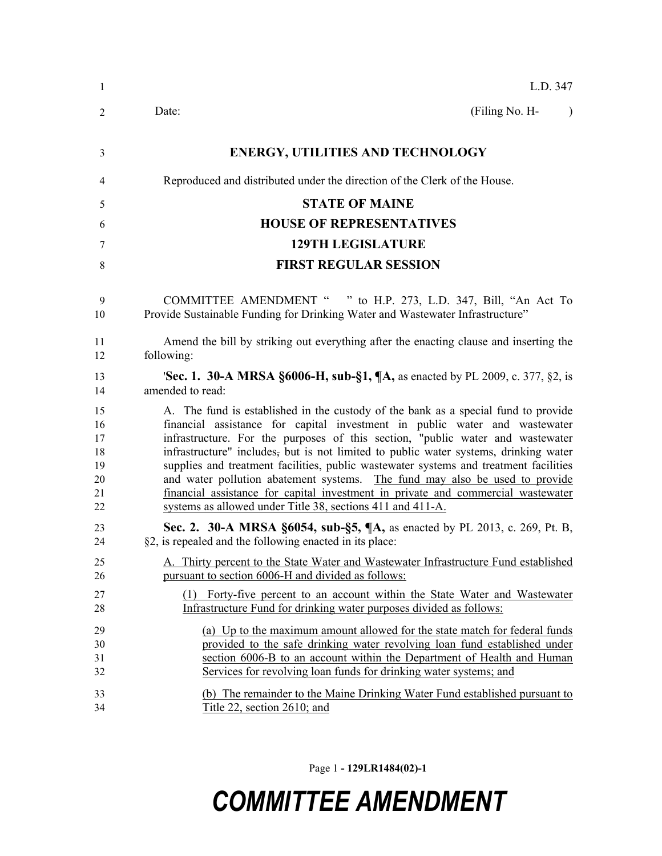| $\mathbf{1}$                                 | L.D. 347                                                                                                                                                                                                                                                                                                                                                                                                                                                                                                                                                                                                                                                             |
|----------------------------------------------|----------------------------------------------------------------------------------------------------------------------------------------------------------------------------------------------------------------------------------------------------------------------------------------------------------------------------------------------------------------------------------------------------------------------------------------------------------------------------------------------------------------------------------------------------------------------------------------------------------------------------------------------------------------------|
| 2                                            | (Filing No. H-<br>Date:<br>$\lambda$                                                                                                                                                                                                                                                                                                                                                                                                                                                                                                                                                                                                                                 |
| 3                                            | <b>ENERGY, UTILITIES AND TECHNOLOGY</b>                                                                                                                                                                                                                                                                                                                                                                                                                                                                                                                                                                                                                              |
| 4                                            | Reproduced and distributed under the direction of the Clerk of the House.                                                                                                                                                                                                                                                                                                                                                                                                                                                                                                                                                                                            |
| 5                                            | <b>STATE OF MAINE</b>                                                                                                                                                                                                                                                                                                                                                                                                                                                                                                                                                                                                                                                |
| 6                                            | <b>HOUSE OF REPRESENTATIVES</b>                                                                                                                                                                                                                                                                                                                                                                                                                                                                                                                                                                                                                                      |
| 7                                            | <b>129TH LEGISLATURE</b>                                                                                                                                                                                                                                                                                                                                                                                                                                                                                                                                                                                                                                             |
| 8                                            | <b>FIRST REGULAR SESSION</b>                                                                                                                                                                                                                                                                                                                                                                                                                                                                                                                                                                                                                                         |
| 9<br>10                                      | COMMITTEE AMENDMENT " " to H.P. 273, L.D. 347, Bill, "An Act To<br>Provide Sustainable Funding for Drinking Water and Wastewater Infrastructure"                                                                                                                                                                                                                                                                                                                                                                                                                                                                                                                     |
| 11<br>12                                     | Amend the bill by striking out everything after the enacting clause and inserting the<br>following:                                                                                                                                                                                                                                                                                                                                                                                                                                                                                                                                                                  |
| 13<br>14                                     | <b>Sec. 1. 30-A MRSA §6006-H, sub-§1, ¶A, as enacted by PL 2009, c. 377, §2, is</b><br>amended to read:                                                                                                                                                                                                                                                                                                                                                                                                                                                                                                                                                              |
| 15<br>16<br>17<br>18<br>19<br>20<br>21<br>22 | A. The fund is established in the custody of the bank as a special fund to provide<br>financial assistance for capital investment in public water and wastewater<br>infrastructure. For the purposes of this section, "public water and wastewater<br>infrastructure" includes, but is not limited to public water systems, drinking water<br>supplies and treatment facilities, public wastewater systems and treatment facilities<br>and water pollution abatement systems. The fund may also be used to provide<br>financial assistance for capital investment in private and commercial wastewater<br>systems as allowed under Title 38, sections 411 and 411-A. |
| 23<br>24                                     | Sec. 2. 30-A MRSA §6054, sub-§5, ¶A, as enacted by PL 2013, c. 269, Pt. B,<br>§2, is repealed and the following enacted in its place:                                                                                                                                                                                                                                                                                                                                                                                                                                                                                                                                |
| 25<br>26                                     | A. Thirty percent to the State Water and Wastewater Infrastructure Fund established<br>pursuant to section 6006-H and divided as follows:                                                                                                                                                                                                                                                                                                                                                                                                                                                                                                                            |
| 27<br>28                                     | (1) Forty-five percent to an account within the State Water and Wastewater<br>Infrastructure Fund for drinking water purposes divided as follows:                                                                                                                                                                                                                                                                                                                                                                                                                                                                                                                    |
| 29<br>30<br>31<br>32<br>33<br>34             | (a) Up to the maximum amount allowed for the state match for federal funds<br>provided to the safe drinking water revolving loan fund established under<br>section 6006-B to an account within the Department of Health and Human<br>Services for revolving loan funds for drinking water systems; and<br>(b) The remainder to the Maine Drinking Water Fund established pursuant to<br>Title 22, section 2610; and                                                                                                                                                                                                                                                  |
|                                              |                                                                                                                                                                                                                                                                                                                                                                                                                                                                                                                                                                                                                                                                      |

Page 1 **- 129LR1484(02)-1**

## *COMMITTEE AMENDMENT*